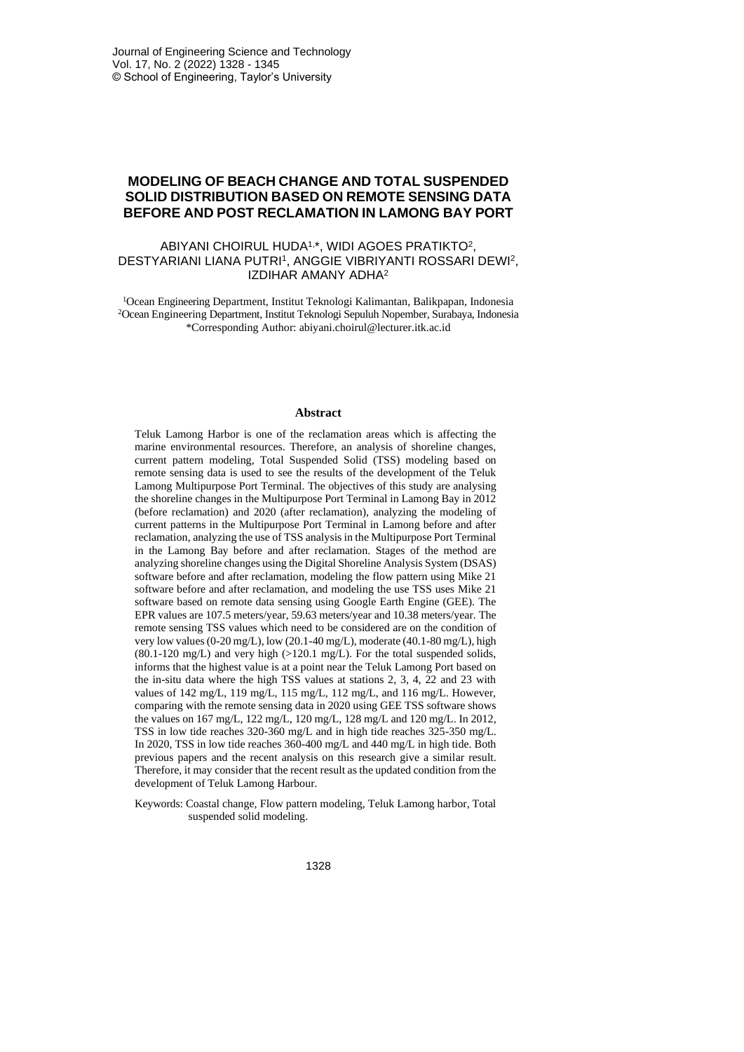# **MODELING OF BEACH CHANGE AND TOTAL SUSPENDED SOLID DISTRIBUTION BASED ON REMOTE SENSING DATA BEFORE AND POST RECLAMATION IN LAMONG BAY PORT**

### ABIYANI CHOIRUL HUDA1, \*, WIDI AGOES PRATIKTO<sup>2</sup> , DESTYARIANI LIANA PUTRI<sup>1</sup>, ANGGIE VIBRIYANTI ROSSARI DEWI<sup>2</sup>, IZDIHAR AMANY ADHA<sup>2</sup>

<sup>1</sup>Ocean Engineering Department, Institut Teknologi Kalimantan, Balikpapan, Indonesia <sup>2</sup>Ocean Engineering Department, Institut Teknologi Sepuluh Nopember, Surabaya, Indonesia \*Corresponding Author[: abiyani.choirul@lecturer.itk.ac.id](mailto:abiyani.choirul@lecturer.itk.ac.id)

#### **Abstract**

Teluk Lamong Harbor is one of the reclamation areas which is affecting the marine environmental resources. Therefore, an analysis of shoreline changes, current pattern modeling, Total Suspended Solid (TSS) modeling based on remote sensing data is used to see the results of the development of the Teluk Lamong Multipurpose Port Terminal. The objectives of this study are analysing the shoreline changes in the Multipurpose Port Terminal in Lamong Bay in 2012 (before reclamation) and 2020 (after reclamation), analyzing the modeling of current patterns in the Multipurpose Port Terminal in Lamong before and after reclamation, analyzing the use of TSS analysis in the Multipurpose Port Terminal in the Lamong Bay before and after reclamation. Stages of the method are analyzing shoreline changes using the Digital Shoreline Analysis System (DSAS) software before and after reclamation, modeling the flow pattern using Mike 21 software before and after reclamation, and modeling the use TSS uses Mike 21 software based on remote data sensing using Google Earth Engine (GEE). The EPR values are 107.5 meters/year, 59.63 meters/year and 10.38 meters/year. The remote sensing TSS values which need to be considered are on the condition of very low values (0-20 mg/L), low (20.1-40 mg/L), moderate (40.1-80 mg/L), high  $(80.1-120 \text{ mg/L})$  and very high  $(>120.1 \text{ mg/L})$ . For the total suspended solids, informs that the highest value is at a point near the Teluk Lamong Port based on the in-situ data where the high TSS values at stations 2, 3, 4, 22 and 23 with values of 142 mg/L, 119 mg/L, 115 mg/L, 112 mg/L, and 116 mg/L. However, comparing with the remote sensing data in 2020 using GEE TSS software shows the values on 167 mg/L, 122 mg/L, 120 mg/L, 128 mg/L and 120 mg/L. In 2012, TSS in low tide reaches 320-360 mg/L and in high tide reaches 325-350 mg/L. In 2020, TSS in low tide reaches 360-400 mg/L and 440 mg/L in high tide. Both previous papers and the recent analysis on this research give a similar result. Therefore, it may consider that the recent result as the updated condition from the development of Teluk Lamong Harbour.

Keywords: Coastal change, Flow pattern modeling, Teluk Lamong harbor, Total suspended solid modeling.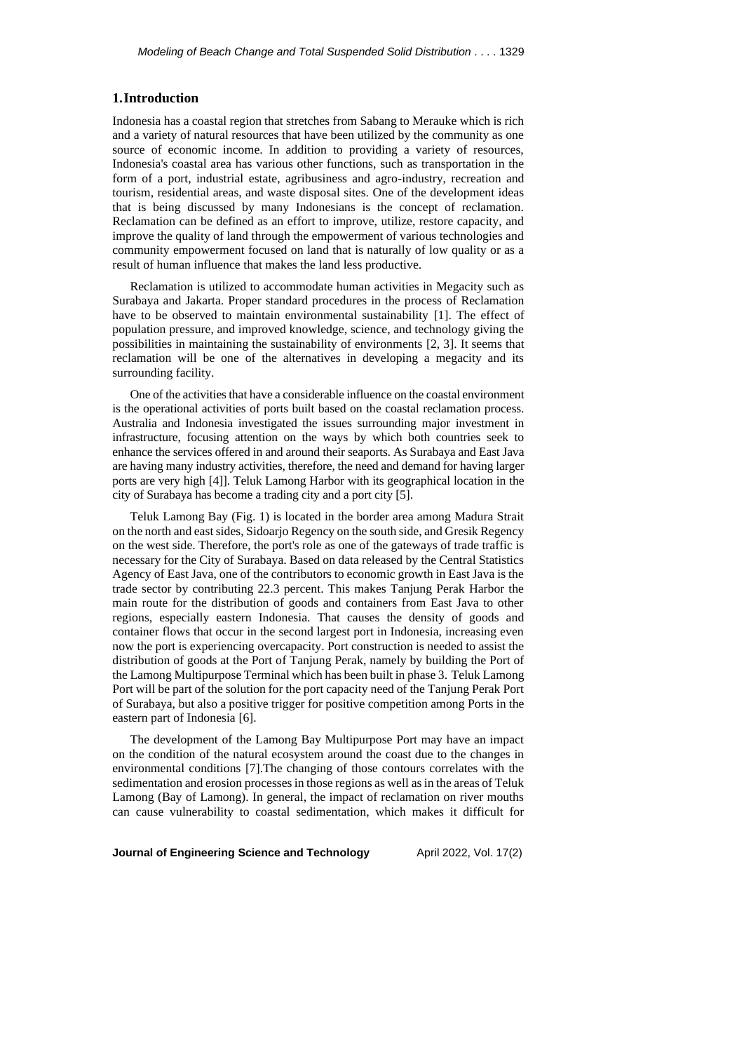# **1.Introduction**

Indonesia has a coastal region that stretches from Sabang to Merauke which is rich and a variety of natural resources that have been utilized by the community as one source of economic income. In addition to providing a variety of resources, Indonesia's coastal area has various other functions, such as transportation in the form of a port, industrial estate, agribusiness and agro-industry, recreation and tourism, residential areas, and waste disposal sites. One of the development ideas that is being discussed by many Indonesians is the concept of reclamation. Reclamation can be defined as an effort to improve, utilize, restore capacity, and improve the quality of land through the empowerment of various technologies and community empowerment focused on land that is naturally of low quality or as a result of human influence that makes the land less productive.

Reclamation is utilized to accommodate human activities in Megacity such as Surabaya and Jakarta. Proper standard procedures in the process of Reclamation have to be observed to maintain environmental sustainability [1]. The effect of population pressure, and improved knowledge, science, and technology giving the possibilities in maintaining the sustainability of environments [2, 3]. It seems that reclamation will be one of the alternatives in developing a megacity and its surrounding facility.

One of the activities that have a considerable influence on the coastal environment is the operational activities of ports built based on the coastal reclamation process. Australia and Indonesia investigated the issues surrounding major investment in infrastructure, focusing attention on the ways by which both countries seek to enhance the services offered in and around their seaports. As Surabaya and East Java are having many industry activities, therefore, the need and demand for having larger ports are very high [4]]. Teluk Lamong Harbor with its geographical location in the city of Surabaya has become a trading city and a port city [5].

Teluk Lamong Bay (Fig. 1) is located in the border area among Madura Strait on the north and east sides, Sidoarjo Regency on the south side, and Gresik Regency on the west side. Therefore, the port's role as one of the gateways of trade traffic is necessary for the City of Surabaya. Based on data released by the Central Statistics Agency of East Java, one of the contributors to economic growth in East Java is the trade sector by contributing 22.3 percent. This makes Tanjung Perak Harbor the main route for the distribution of goods and containers from East Java to other regions, especially eastern Indonesia. That causes the density of goods and container flows that occur in the second largest port in Indonesia, increasing even now the port is experiencing overcapacity. Port construction is needed to assist the distribution of goods at the Port of Tanjung Perak, namely by building the Port of the Lamong Multipurpose Terminal which has been built in phase 3. Teluk Lamong Port will be part of the solution for the port capacity need of the Tanjung Perak Port of Surabaya, but also a positive trigger for positive competition among Ports in the eastern part of Indonesia [6].

The development of the Lamong Bay Multipurpose Port may have an impact on the condition of the natural ecosystem around the coast due to the changes in environmental conditions [7].The changing of those contours correlates with the sedimentation and erosion processes in those regions as well as in the areas of Teluk Lamong (Bay of Lamong). In general, the impact of reclamation on river mouths can cause vulnerability to coastal sedimentation, which makes it difficult for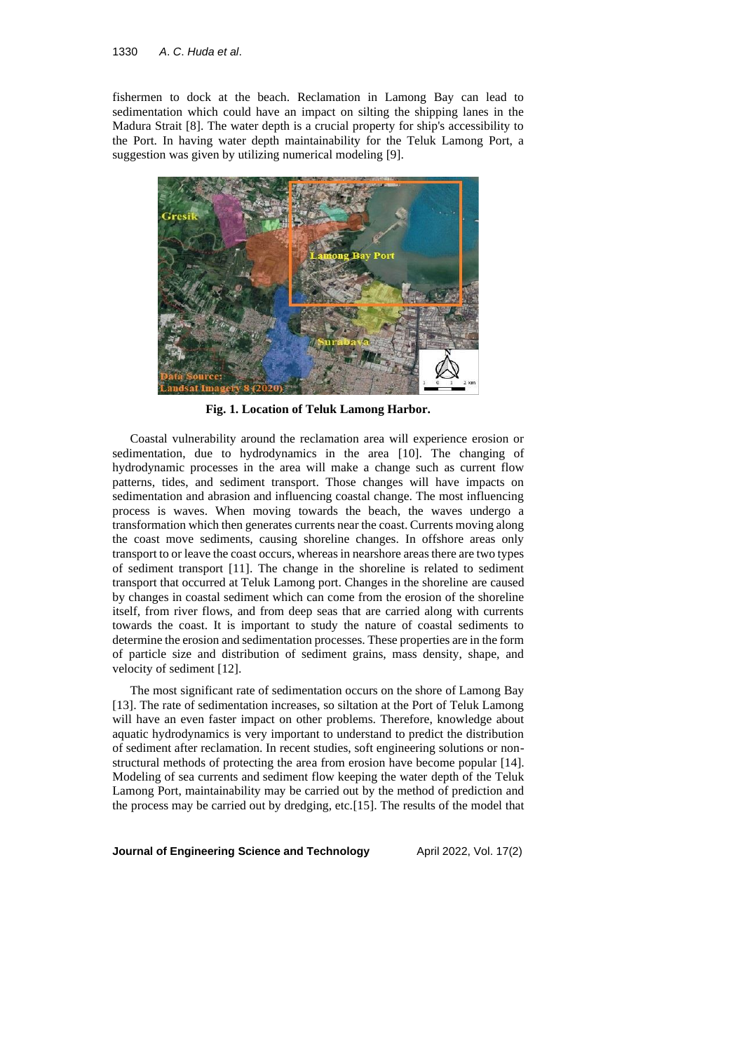fishermen to dock at the beach. Reclamation in Lamong Bay can lead to sedimentation which could have an impact on silting the shipping lanes in the Madura Strait [8]. The water depth is a crucial property for ship's accessibility to the Port. In having water depth maintainability for the Teluk Lamong Port, a suggestion was given by utilizing numerical modeling [9].



**Fig. 1. Location of Teluk Lamong Harbor.**

Coastal vulnerability around the reclamation area will experience erosion or sedimentation, due to hydrodynamics in the area [10]. The changing of hydrodynamic processes in the area will make a change such as current flow patterns, tides, and sediment transport. Those changes will have impacts on sedimentation and abrasion and influencing coastal change. The most influencing process is waves. When moving towards the beach, the waves undergo a transformation which then generates currents near the coast. Currents moving along the coast move sediments, causing shoreline changes. In offshore areas only transport to or leave the coast occurs, whereas in nearshore areas there are two types of sediment transport [11]. The change in the shoreline is related to sediment transport that occurred at Teluk Lamong port. Changes in the shoreline are caused by changes in coastal sediment which can come from the erosion of the shoreline itself, from river flows, and from deep seas that are carried along with currents towards the coast. It is important to study the nature of coastal sediments to determine the erosion and sedimentation processes. These properties are in the form of particle size and distribution of sediment grains, mass density, shape, and velocity of sediment [12].

The most significant rate of sedimentation occurs on the shore of Lamong Bay [13]. The rate of sedimentation increases, so siltation at the Port of Teluk Lamong will have an even faster impact on other problems. Therefore, knowledge about aquatic hydrodynamics is very important to understand to predict the distribution of sediment after reclamation. In recent studies, soft engineering solutions or nonstructural methods of protecting the area from erosion have become popular [14]. Modeling of sea currents and sediment flow keeping the water depth of the Teluk Lamong Port, maintainability may be carried out by the method of prediction and the process may be carried out by dredging, etc.[15]. The results of the model that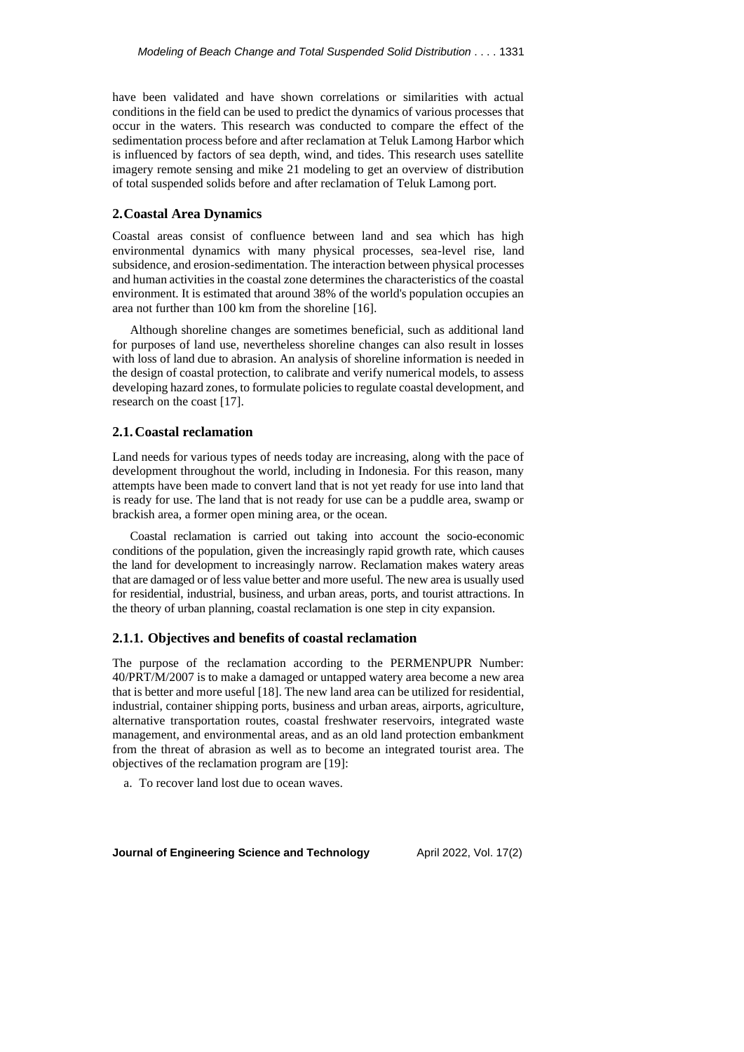have been validated and have shown correlations or similarities with actual conditions in the field can be used to predict the dynamics of various processes that occur in the waters. This research was conducted to compare the effect of the sedimentation process before and after reclamation at Teluk Lamong Harbor which is influenced by factors of sea depth, wind, and tides. This research uses satellite imagery remote sensing and mike 21 modeling to get an overview of distribution of total suspended solids before and after reclamation of Teluk Lamong port.

### **2.Coastal Area Dynamics**

Coastal areas consist of confluence between land and sea which has high environmental dynamics with many physical processes, sea-level rise, land subsidence, and erosion-sedimentation. The interaction between physical processes and human activities in the coastal zone determines the characteristics of the coastal environment. It is estimated that around 38% of the world's population occupies an area not further than 100 km from the shoreline [16].

Although shoreline changes are sometimes beneficial, such as additional land for purposes of land use, nevertheless shoreline changes can also result in losses with loss of land due to abrasion. An analysis of shoreline information is needed in the design of coastal protection, to calibrate and verify numerical models, to assess developing hazard zones, to formulate policies to regulate coastal development, and research on the coast [17].

# **2.1.Coastal reclamation**

Land needs for various types of needs today are increasing, along with the pace of development throughout the world, including in Indonesia. For this reason, many attempts have been made to convert land that is not yet ready for use into land that is ready for use. The land that is not ready for use can be a puddle area, swamp or brackish area, a former open mining area, or the ocean.

Coastal reclamation is carried out taking into account the socio-economic conditions of the population, given the increasingly rapid growth rate, which causes the land for development to increasingly narrow. Reclamation makes watery areas that are damaged or of less value better and more useful. The new area is usually used for residential, industrial, business, and urban areas, ports, and tourist attractions. In the theory of urban planning, coastal reclamation is one step in city expansion.

# **2.1.1. Objectives and benefits of coastal reclamation**

The purpose of the reclamation according to the PERMENPUPR Number: 40/PRT/M/2007 is to make a damaged or untapped watery area become a new area that is better and more useful [18]. The new land area can be utilized for residential, industrial, container shipping ports, business and urban areas, airports, agriculture, alternative transportation routes, coastal freshwater reservoirs, integrated waste management, and environmental areas, and as an old land protection embankment from the threat of abrasion as well as to become an integrated tourist area. The objectives of the reclamation program are [19]:

a. To recover land lost due to ocean waves.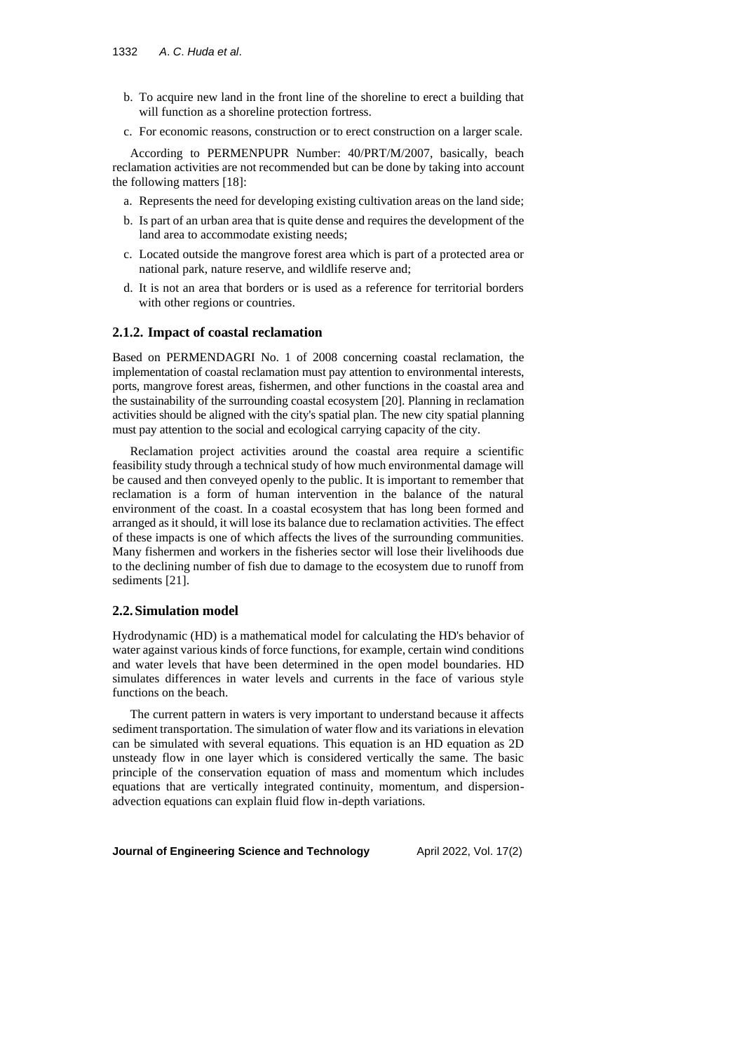- b. To acquire new land in the front line of the shoreline to erect a building that will function as a shoreline protection fortress.
- c. For economic reasons, construction or to erect construction on a larger scale.

According to PERMENPUPR Number: 40/PRT/M/2007, basically, beach reclamation activities are not recommended but can be done by taking into account the following matters [18]:

- a. Represents the need for developing existing cultivation areas on the land side;
- b. Is part of an urban area that is quite dense and requires the development of the land area to accommodate existing needs;
- c. Located outside the mangrove forest area which is part of a protected area or national park, nature reserve, and wildlife reserve and;
- d. It is not an area that borders or is used as a reference for territorial borders with other regions or countries.

# **2.1.2. Impact of coastal reclamation**

Based on PERMENDAGRI No. 1 of 2008 concerning coastal reclamation, the implementation of coastal reclamation must pay attention to environmental interests, ports, mangrove forest areas, fishermen, and other functions in the coastal area and the sustainability of the surrounding coastal ecosystem [20]. Planning in reclamation activities should be aligned with the city's spatial plan. The new city spatial planning must pay attention to the social and ecological carrying capacity of the city.

Reclamation project activities around the coastal area require a scientific feasibility study through a technical study of how much environmental damage will be caused and then conveyed openly to the public. It is important to remember that reclamation is a form of human intervention in the balance of the natural environment of the coast. In a coastal ecosystem that has long been formed and arranged as it should, it will lose its balance due to reclamation activities. The effect of these impacts is one of which affects the lives of the surrounding communities. Many fishermen and workers in the fisheries sector will lose their livelihoods due to the declining number of fish due to damage to the ecosystem due to runoff from sediments [21].

## **2.2.Simulation model**

Hydrodynamic (HD) is a mathematical model for calculating the HD's behavior of water against various kinds of force functions, for example, certain wind conditions and water levels that have been determined in the open model boundaries. HD simulates differences in water levels and currents in the face of various style functions on the beach.

The current pattern in waters is very important to understand because it affects sediment transportation. The simulation of water flow and its variations in elevation can be simulated with several equations. This equation is an HD equation as 2D unsteady flow in one layer which is considered vertically the same. The basic principle of the conservation equation of mass and momentum which includes equations that are vertically integrated continuity, momentum, and dispersionadvection equations can explain fluid flow in-depth variations.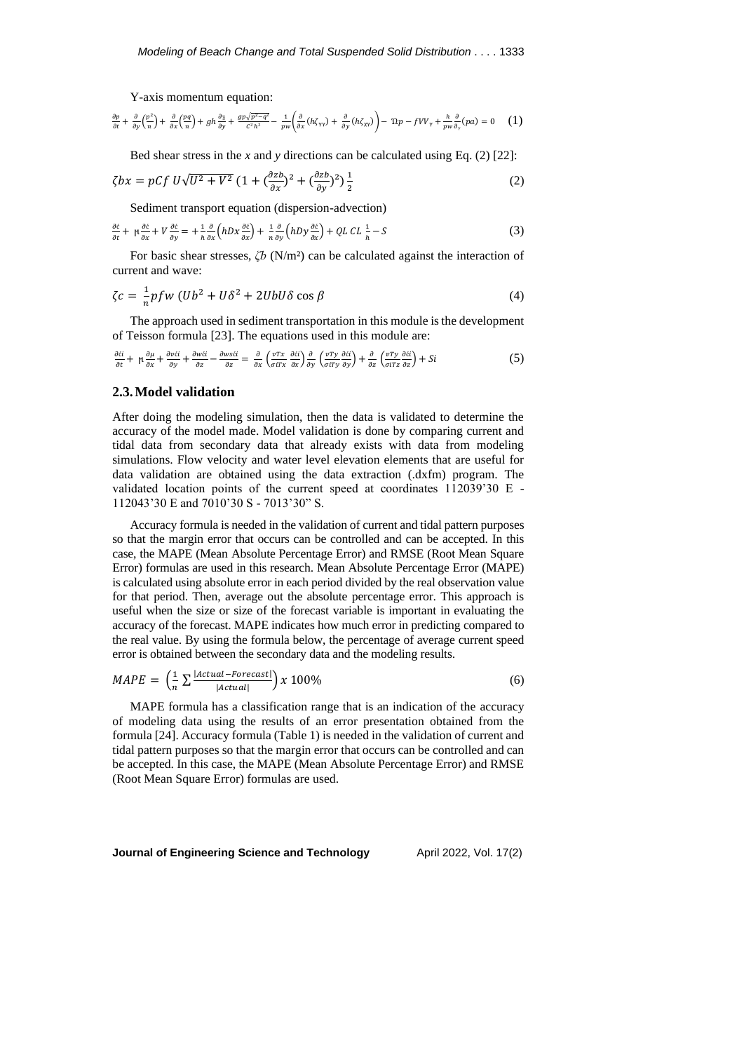Y-axis momentum equation:

$$
\frac{\partial p}{\partial t} + \frac{\partial}{\partial y} \left( \frac{p^2}{n} \right) + \frac{\partial}{\partial x} \left( \frac{pq}{n} \right) + gh \frac{\partial z}{\partial y} + \frac{gp \sqrt{p^2 - q^2}}{c^2 h^2} - \frac{1}{pw} \left( \frac{\partial}{\partial x} (h \zeta_{\gamma \gamma}) + \frac{\partial}{\partial y} (h \zeta_{\gamma \gamma}) \right) - \Omega p - f V V_{\gamma} + \frac{h}{pw} \frac{\partial}{\partial y} (p a) = 0 \quad (1)
$$

Bed shear stress in the *x* and *y* directions can be calculated using Eq. (2) [22]:

$$
\zeta bx = pCf U\sqrt{U^2 + V^2} \left(1 + \left(\frac{\partial zb}{\partial x}\right)^2 + \left(\frac{\partial zb}{\partial y}\right)^2\right) \frac{1}{2}
$$
 (2)

Sediment transport equation (dispersion-advection)

$$
\frac{\partial \varepsilon}{\partial t} + \mu \frac{\partial \varepsilon}{\partial x} + V \frac{\partial \varepsilon}{\partial y} = + \frac{1}{h} \frac{\partial}{\partial x} \left( hDx \frac{\partial \varepsilon}{\partial x} \right) + \frac{1}{h} \frac{\partial}{\partial y} \left( hDy \frac{\partial \varepsilon}{\partial x} \right) + QLCL \frac{1}{h} - S \tag{3}
$$

For basic shear stresses, *ζb* (N/m²) can be calculated against the interaction of current and wave:

$$
\zeta c = \frac{1}{n} p f w \left( U b^2 + U \delta^2 + 2 U b U \delta \cos \beta \right) \tag{4}
$$

The approach used in sediment transportation in this module is the development of Teisson formula [23]. The equations used in this module are:

$$
\frac{\partial \acute{e}i}{\partial t} + \mu \frac{\partial \mu}{\partial x} + \frac{\partial v \acute{e}i}{\partial y} + \frac{\partial w \acute{e}i}{\partial z} - \frac{\partial w \acute{e}i}{\partial z} = \frac{\partial}{\partial x} \left( \frac{v \, \tau}{\sigma i \, \tau} \frac{\partial \acute{e}i}{\partial x} \right) \frac{\partial}{\partial y} \left( \frac{v \, \tau}{\sigma i \, \tau} \frac{\partial \acute{e}i}{\partial y} \right) + \frac{\partial}{\partial z} \left( \frac{v \, \tau}{\sigma i \, \tau} \frac{\partial \acute{e}i}{\partial z} \right) + Si \tag{5}
$$

### **2.3.Model validation**

After doing the modeling simulation, then the data is validated to determine the accuracy of the model made. Model validation is done by comparing current and tidal data from secondary data that already exists with data from modeling simulations. Flow velocity and water level elevation elements that are useful for data validation are obtained using the data extraction (.dxfm) program. The validated location points of the current speed at coordinates 112039'30 E - 112043'30 E and 7010'30 S - 7013'30" S.

Accuracy formula is needed in the validation of current and tidal pattern purposes so that the margin error that occurs can be controlled and can be accepted. In this case, the MAPE (Mean Absolute Percentage Error) and RMSE (Root Mean Square Error) formulas are used in this research. Mean Absolute Percentage Error (MAPE) is calculated using absolute error in each period divided by the real observation value for that period. Then, average out the absolute percentage error. This approach is useful when the size or size of the forecast variable is important in evaluating the accuracy of the forecast. MAPE indicates how much error in predicting compared to the real value. By using the formula below, the percentage of average current speed error is obtained between the secondary data and the modeling results.

$$
MAPE = \left(\frac{1}{n} \sum \frac{|Actual - Forecast|}{|Actual|}\right) \times 100\%
$$
\n
$$
\tag{6}
$$

MAPE formula has a classification range that is an indication of the accuracy of modeling data using the results of an error presentation obtained from the formula [24]. Accuracy formula (Table 1) is needed in the validation of current and tidal pattern purposes so that the margin error that occurs can be controlled and can be accepted. In this case, the MAPE (Mean Absolute Percentage Error) and RMSE (Root Mean Square Error) formulas are used.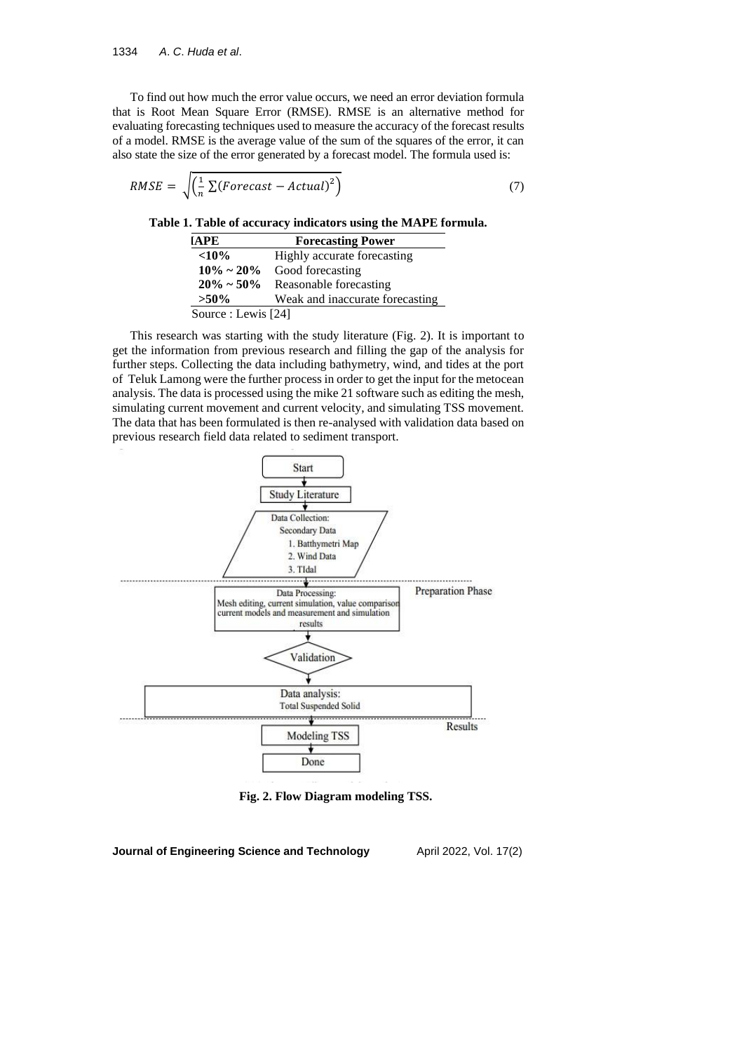To find out how much the error value occurs, we need an error deviation formula that is Root Mean Square Error (RMSE). RMSE is an alternative method for evaluating forecasting techniques used to measure the accuracy of the forecast results of a model. RMSE is the average value of the sum of the squares of the error, it can also state the size of the error generated by a forecast model. The formula used is:

$$
RMSE = \sqrt{\left(\frac{1}{n} \sum (Forecast - Actual)^2\right)} \tag{7}
$$

**Table 1. Table of accuracy indicators using the MAPE formula.**

| <b>TAPE</b>         | <b>Forecasting Power</b>        |
|---------------------|---------------------------------|
| ${<}10\%$           | Highly accurate forecasting     |
| $10\% \sim 20\%$    | Good forecasting                |
| $20\% \sim 50\%$    | Reasonable forecasting          |
| $>50\%$             | Weak and inaccurate forecasting |
| Source : Lewis [24] |                                 |

This research was starting with the study literature (Fig. 2). It is important to get the information from previous research and filling the gap of the analysis for further steps. Collecting the data including bathymetry, wind, and tides at the port of Teluk Lamong were the further process in order to get the input for the metocean analysis. The data is processed using the mike 21 software such as editing the mesh, simulating current movement and current velocity, and simulating TSS movement. The data that has been formulated is then re-analysed with validation data based on previous research field data related to sediment transport.



**Fig. 2. Flow Diagram modeling TSS.**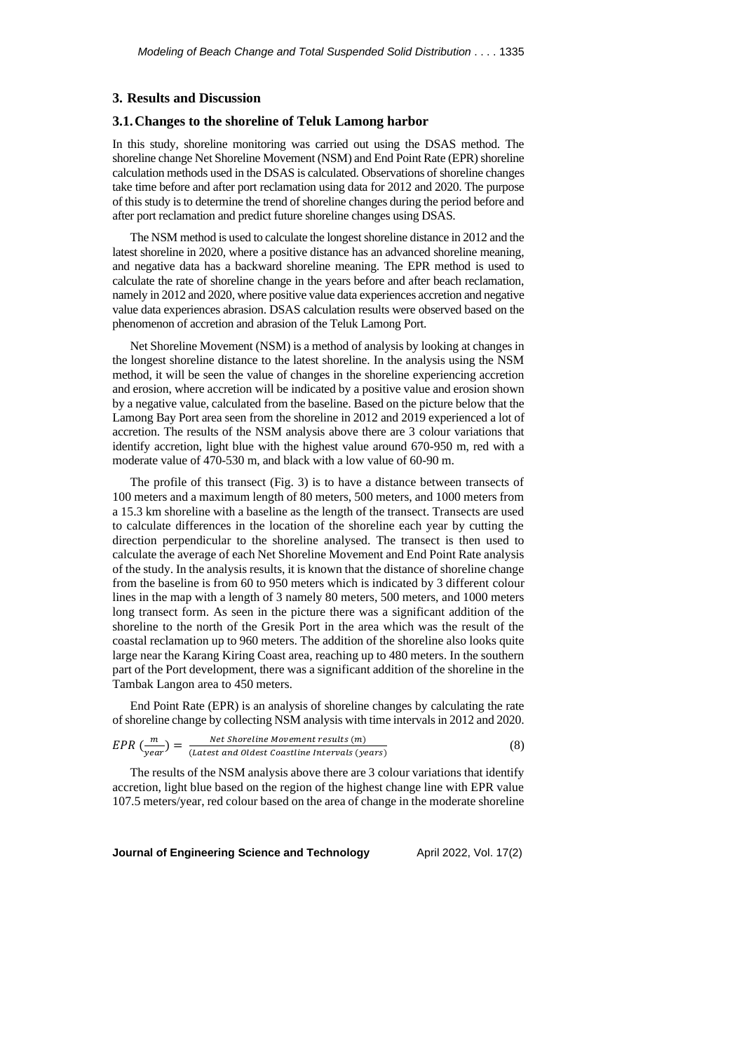### **3. Results and Discussion**

# **3.1.Changes to the shoreline of Teluk Lamong harbor**

In this study, shoreline monitoring was carried out using the DSAS method. The shoreline change Net Shoreline Movement (NSM) and End Point Rate (EPR) shoreline calculation methods used in the DSAS is calculated. Observations of shoreline changes take time before and after port reclamation using data for 2012 and 2020. The purpose of this study is to determine the trend of shoreline changes during the period before and after port reclamation and predict future shoreline changes using DSAS.

The NSM method is used to calculate the longest shoreline distance in 2012 and the latest shoreline in 2020, where a positive distance has an advanced shoreline meaning, and negative data has a backward shoreline meaning. The EPR method is used to calculate the rate of shoreline change in the years before and after beach reclamation, namely in 2012 and 2020, where positive value data experiences accretion and negative value data experiences abrasion. DSAS calculation results were observed based on the phenomenon of accretion and abrasion of the Teluk Lamong Port.

Net Shoreline Movement (NSM) is a method of analysis by looking at changes in the longest shoreline distance to the latest shoreline. In the analysis using the NSM method, it will be seen the value of changes in the shoreline experiencing accretion and erosion, where accretion will be indicated by a positive value and erosion shown by a negative value, calculated from the baseline. Based on the picture below that the Lamong Bay Port area seen from the shoreline in 2012 and 2019 experienced a lot of accretion. The results of the NSM analysis above there are 3 colour variations that identify accretion, light blue with the highest value around 670-950 m, red with a moderate value of 470-530 m, and black with a low value of 60-90 m.

The profile of this transect (Fig. 3) is to have a distance between transects of 100 meters and a maximum length of 80 meters, 500 meters, and 1000 meters from a 15.3 km shoreline with a baseline as the length of the transect. Transects are used to calculate differences in the location of the shoreline each year by cutting the direction perpendicular to the shoreline analysed. The transect is then used to calculate the average of each Net Shoreline Movement and End Point Rate analysis of the study. In the analysis results, it is known that the distance of shoreline change from the baseline is from 60 to 950 meters which is indicated by 3 different colour lines in the map with a length of 3 namely 80 meters, 500 meters, and 1000 meters long transect form. As seen in the picture there was a significant addition of the shoreline to the north of the Gresik Port in the area which was the result of the coastal reclamation up to 960 meters. The addition of the shoreline also looks quite large near the Karang Kiring Coast area, reaching up to 480 meters. In the southern part of the Port development, there was a significant addition of the shoreline in the Tambak Langon area to 450 meters.

End Point Rate (EPR) is an analysis of shoreline changes by calculating the rate of shoreline change by collecting NSM analysis with time intervals in 2012 and 2020.

$$
EPR\left(\frac{m}{year}\right) = \frac{Net Shortline \; Movement \; results \; (m)}{(Latest \; and \; oldest \; coastline \; intervals \; (years)}
$$
\n
$$
(8)
$$

The results of the NSM analysis above there are 3 colour variations that identify accretion, light blue based on the region of the highest change line with EPR value 107.5 meters/year, red colour based on the area of change in the moderate shoreline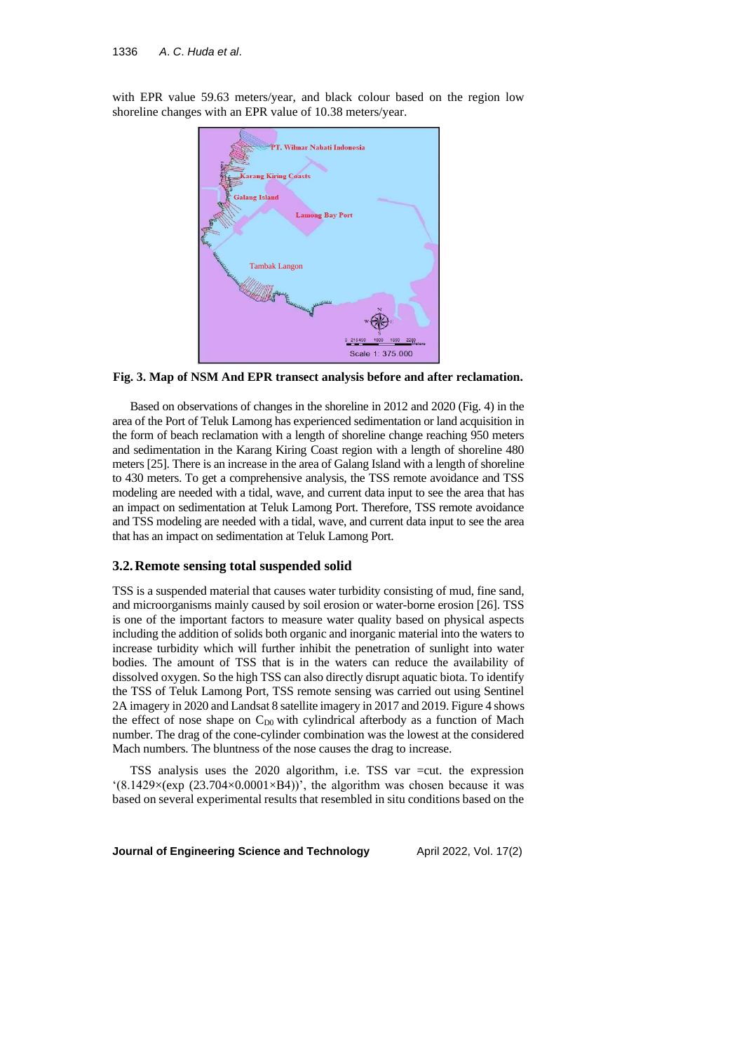with EPR value 59.63 meters/year, and black colour based on the region low shoreline changes with an EPR value of 10.38 meters/year.



**Fig. 3. Map of NSM And EPR transect analysis before and after reclamation.**

Based on observations of changes in the shoreline in 2012 and 2020 (Fig. 4) in the area of the Port of Teluk Lamong has experienced sedimentation or land acquisition in the form of beach reclamation with a length of shoreline change reaching 950 meters and sedimentation in the Karang Kiring Coast region with a length of shoreline 480 meters [25]. There is an increase in the area of Galang Island with a length of shoreline to 430 meters. To get a comprehensive analysis, the TSS remote avoidance and TSS modeling are needed with a tidal, wave, and current data input to see the area that has an impact on sedimentation at Teluk Lamong Port. Therefore, TSS remote avoidance and TSS modeling are needed with a tidal, wave, and current data input to see the area that has an impact on sedimentation at Teluk Lamong Port.

### **3.2.Remote sensing total suspended solid**

TSS is a suspended material that causes water turbidity consisting of mud, fine sand, and microorganisms mainly caused by soil erosion or water-borne erosion [26]. TSS is one of the important factors to measure water quality based on physical aspects including the addition of solids both organic and inorganic material into the waters to increase turbidity which will further inhibit the penetration of sunlight into water bodies. The amount of TSS that is in the waters can reduce the availability of dissolved oxygen. So the high TSS can also directly disrupt aquatic biota. To identify the TSS of Teluk Lamong Port, TSS remote sensing was carried out using Sentinel 2A imagery in 2020 and Landsat 8 satellite imagery in 2017 and 2019. Figure 4 shows the effect of nose shape on  $C_{D0}$  with cylindrical afterbody as a function of Mach number. The drag of the cone-cylinder combination was the lowest at the considered Mach numbers. The bluntness of the nose causes the drag to increase.

TSS analysis uses the 2020 algorithm, i.e. TSS var =cut. the expression '(8.1429 $\times$ (exp (23.704 $\times$ 0.0001 $\times$ B4))', the algorithm was chosen because it was based on several experimental results that resembled in situ conditions based on the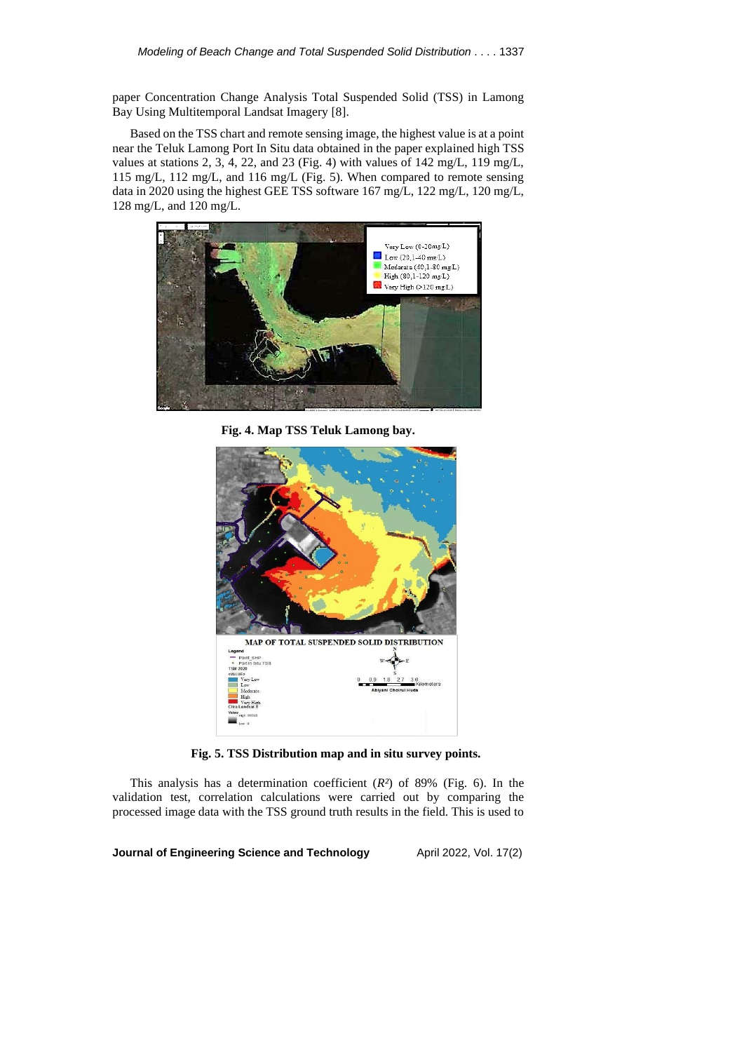paper Concentration Change Analysis Total Suspended Solid (TSS) in Lamong Bay Using Multitemporal Landsat Imagery [8].

Based on the TSS chart and remote sensing image, the highest value is at a point near the Teluk Lamong Port In Situ data obtained in the paper explained high TSS values at stations 2, 3, 4, 22, and 23 (Fig. 4) with values of 142 mg/L, 119 mg/L, 115 mg/L, 112 mg/L, and 116 mg/L (Fig. 5). When compared to remote sensing data in 2020 using the highest GEE TSS software 167 mg/L, 122 mg/L, 120 mg/L, 128 mg/L, and 120 mg/L.



**Fig. 4. Map TSS Teluk Lamong bay.**



**Fig. 5. TSS Distribution map and in situ survey points.**

This analysis has a determination coefficient (*R²*) of 89% (Fig. 6). In the validation test, correlation calculations were carried out by comparing the processed image data with the TSS ground truth results in the field. This is used to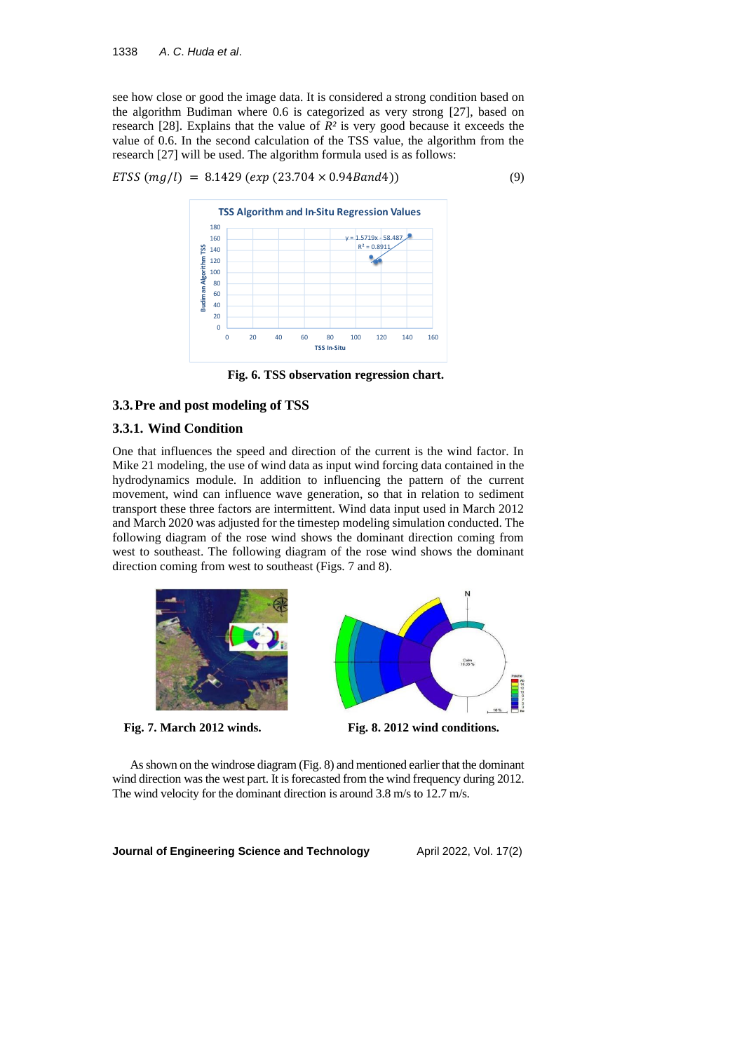see how close or good the image data. It is considered a strong condition based on the algorithm Budiman where 0.6 is categorized as very strong [27], based on research [28]. Explains that the value of  $R^2$  is very good because it exceeds the value of 0.6. In the second calculation of the TSS value, the algorithm from the research [27] will be used. The algorithm formula used is as follows:

$$
ETSS (mg/l) = 8.1429 (exp (23.704 \times 0.94 Band4))
$$
\n(9)



**Fig. 6. TSS observation regression chart.**

# **3.3.Pre and post modeling of TSS**

### **3.3.1. Wind Condition**

One that influences the speed and direction of the current is the wind factor. In Mike 21 modeling, the use of wind data as input wind forcing data contained in the hydrodynamics module. In addition to influencing the pattern of the current movement, wind can influence wave generation, so that in relation to sediment transport these three factors are intermittent. Wind data input used in March 2012 and March 2020 was adjusted for the timestep modeling simulation conducted. The following diagram of the rose wind shows the dominant direction coming from west to southeast. The following diagram of the rose wind shows the dominant direction coming from west to southeast (Figs. 7 and 8).







**Fig. 7. March 2012 winds. Fig. 8. 2012 wind conditions.**

As shown on the windrose diagram (Fig. 8) and mentioned earlier that the dominant wind direction was the west part. It is forecasted from the wind frequency during 2012. The wind velocity for the dominant direction is around 3.8 m/s to 12.7 m/s.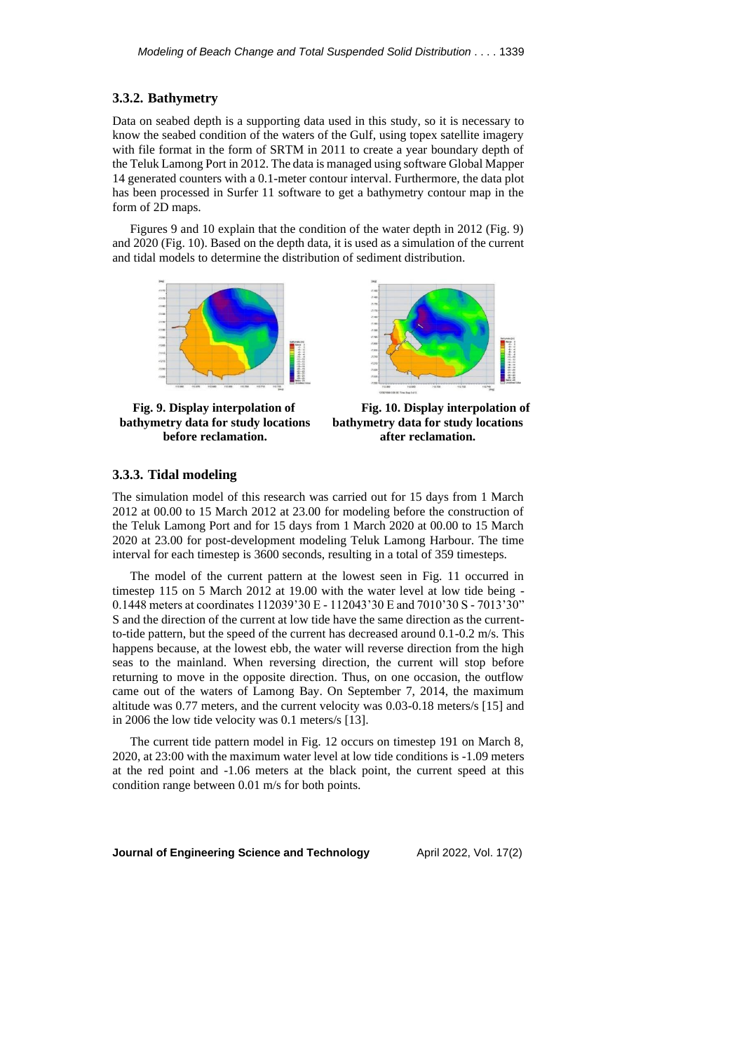# **3.3.2. Bathymetry**

Data on seabed depth is a supporting data used in this study, so it is necessary to know the seabed condition of the waters of the Gulf, using topex satellite imagery with file format in the form of SRTM in 2011 to create a year boundary depth of the Teluk Lamong Port in 2012. The data is managed using software Global Mapper 14 generated counters with a 0.1-meter contour interval. Furthermore, the data plot has been processed in Surfer 11 software to get a bathymetry contour map in the form of 2D maps.

Figures 9 and 10 explain that the condition of the water depth in 2012 (Fig. 9) and 2020 (Fig. 10). Based on the depth data, it is used as a simulation of the current and tidal models to determine the distribution of sediment distribution.



**Fig. 9. Display interpolation of bathymetry data for study locations before reclamation.**



**Fig. 10. Display interpolation of bathymetry data for study locations after reclamation.**

# **3.3.3. Tidal modeling**

The simulation model of this research was carried out for 15 days from 1 March 2012 at 00.00 to 15 March 2012 at 23.00 for modeling before the construction of the Teluk Lamong Port and for 15 days from 1 March 2020 at 00.00 to 15 March 2020 at 23.00 for post-development modeling Teluk Lamong Harbour. The time interval for each timestep is 3600 seconds, resulting in a total of 359 timesteps.

The model of the current pattern at the lowest seen in Fig. 11 occurred in timestep 115 on 5 March 2012 at 19.00 with the water level at low tide being - 0.1448 meters at coordinates 112039'30 E - 112043'30 E and 7010'30 S - 7013'30" S and the direction of the current at low tide have the same direction as the currentto-tide pattern, but the speed of the current has decreased around 0.1-0.2 m/s. This happens because, at the lowest ebb, the water will reverse direction from the high seas to the mainland. When reversing direction, the current will stop before returning to move in the opposite direction. Thus, on one occasion, the outflow came out of the waters of Lamong Bay. On September 7, 2014, the maximum altitude was 0.77 meters, and the current velocity was 0.03-0.18 meters/s [15] and in 2006 the low tide velocity was 0.1 meters/s [13].

The current tide pattern model in Fig. 12 occurs on timestep 191 on March 8, 2020, at 23:00 with the maximum water level at low tide conditions is -1.09 meters at the red point and -1.06 meters at the black point, the current speed at this condition range between 0.01 m/s for both points.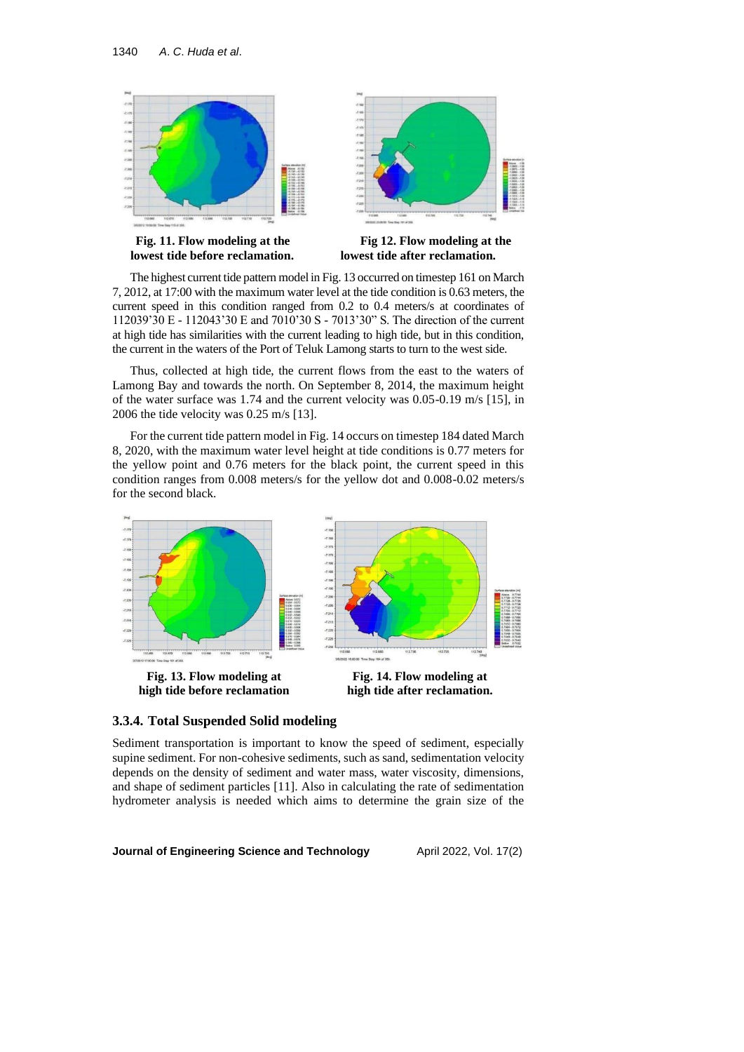

The highest current tide pattern model in Fig. 13 occurred on timestep 161 on March 7, 2012, at 17:00 with the maximum water level at the tide condition is 0.63 meters, the current speed in this condition ranged from 0.2 to 0.4 meters/s at coordinates of 112039'30 E - 112043'30 E and 7010'30 S - 7013'30" S. The direction of the current at high tide has similarities with the current leading to high tide, but in this condition, the current in the waters of the Port of Teluk Lamong starts to turn to the west side.

Thus, collected at high tide, the current flows from the east to the waters of Lamong Bay and towards the north. On September 8, 2014, the maximum height of the water surface was 1.74 and the current velocity was 0.05-0.19 m/s [15], in 2006 the tide velocity was 0.25 m/s [13].

For the current tide pattern model in Fig. 14 occurs on timestep 184 dated March 8, 2020, with the maximum water level height at tide conditions is 0.77 meters for the yellow point and 0.76 meters for the black point, the current speed in this condition ranges from 0.008 meters/s for the yellow dot and 0.008-0.02 meters/s for the second black.





Sediment transportation is important to know the speed of sediment, especially supine sediment. For non-cohesive sediments, such as sand, sedimentation velocity depends on the density of sediment and water mass, water viscosity, dimensions, and shape of sediment particles [11]. Also in calculating the rate of sedimentation hydrometer analysis is needed which aims to determine the grain size of the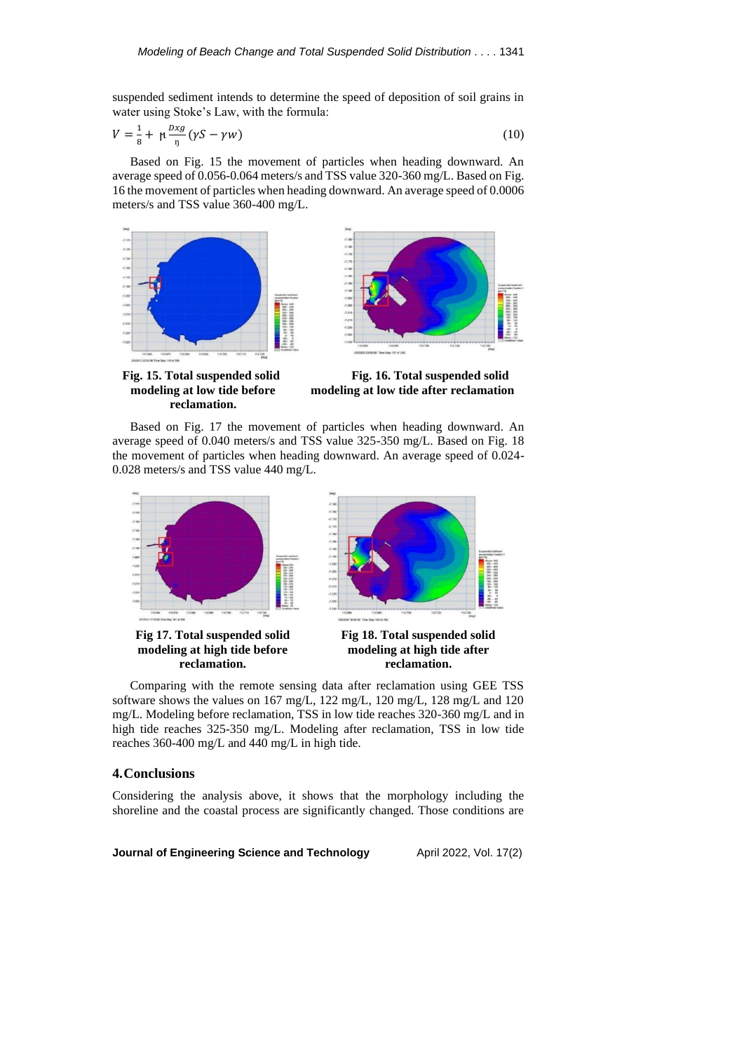suspended sediment intends to determine the speed of deposition of soil grains in water using Stoke's Law, with the formula:

$$
V = \frac{1}{8} + \mu \frac{Dxg}{\eta} (\gamma S - \gamma w) \tag{10}
$$

Based on Fig. 15 the movement of particles when heading downward. An average speed of 0.056-0.064 meters/s and TSS value 320-360 mg/L. Based on Fig. 16 the movement of particles when heading downward. An average speed of 0.0006 meters/s and TSS value 360-400 mg/L.





**Fig. 15. Total suspended solid modeling at low tide before reclamation.**

**modeling at high tide before reclamation.**

**Fig. 16. Total suspended solid modeling at low tide after reclamation**

Based on Fig. 17 the movement of particles when heading downward. An average speed of 0.040 meters/s and TSS value 325-350 mg/L. Based on Fig. 18 the movement of particles when heading downward. An average speed of 0.024- 0.028 meters/s and TSS value 440 mg/L.



**modeling at high tide after reclamation.**

Comparing with the remote sensing data after reclamation using GEE TSS software shows the values on 167 mg/L, 122 mg/L, 120 mg/L, 128 mg/L and 120 mg/L. Modeling before reclamation, TSS in low tide reaches 320-360 mg/L and in high tide reaches 325-350 mg/L. Modeling after reclamation, TSS in low tide reaches 360-400 mg/L and 440 mg/L in high tide.

# **4.Conclusions**

Considering the analysis above, it shows that the morphology including the shoreline and the coastal process are significantly changed. Those conditions are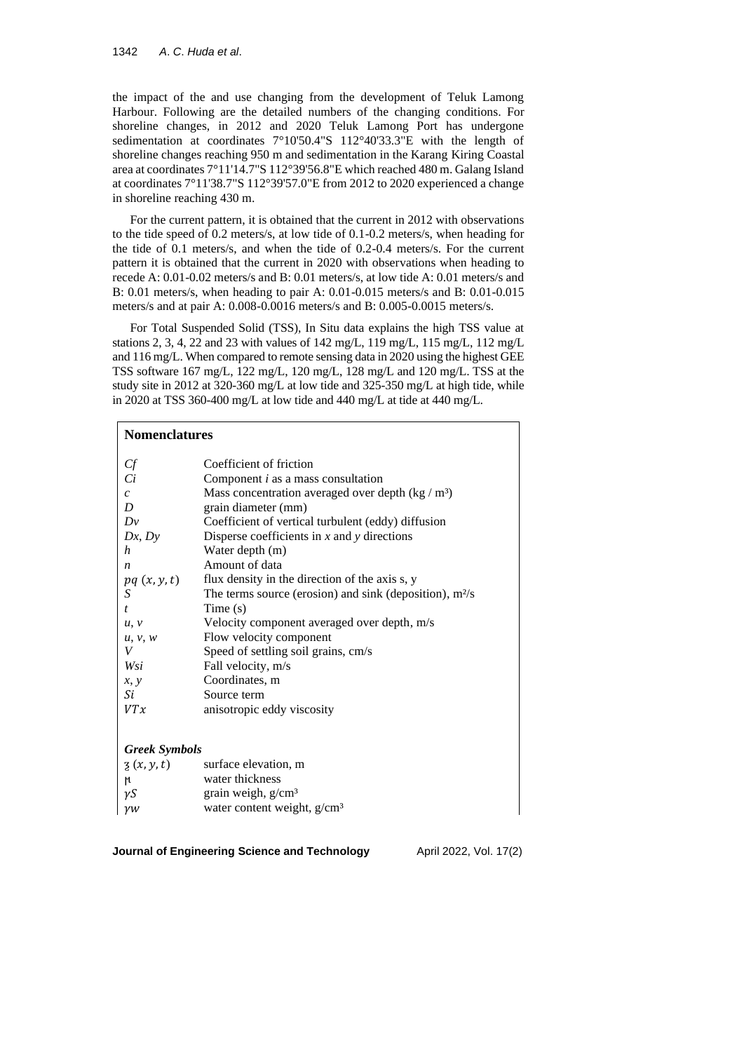the impact of the and use changing from the development of Teluk Lamong Harbour. Following are the detailed numbers of the changing conditions. For shoreline changes, in 2012 and 2020 Teluk Lamong Port has undergone sedimentation at coordinates 7°10'50.4"S 112°40'33.3"E with the length of shoreline changes reaching 950 m and sedimentation in the Karang Kiring Coastal area at coordinates 7°11'14.7"S 112°39'56.8"E which reached 480 m. Galang Island at coordinates 7°11'38.7"S 112°39'57.0"E from 2012 to 2020 experienced a change in shoreline reaching 430 m.

For the current pattern, it is obtained that the current in 2012 with observations to the tide speed of 0.2 meters/s, at low tide of 0.1-0.2 meters/s, when heading for the tide of 0.1 meters/s, and when the tide of 0.2-0.4 meters/s. For the current pattern it is obtained that the current in 2020 with observations when heading to recede A: 0.01-0.02 meters/s and B: 0.01 meters/s, at low tide A: 0.01 meters/s and B: 0.01 meters/s, when heading to pair A: 0.01-0.015 meters/s and B: 0.01-0.015 meters/s and at pair A: 0.008-0.0016 meters/s and B: 0.005-0.0015 meters/s.

For Total Suspended Solid (TSS), In Situ data explains the high TSS value at stations 2, 3, 4, 22 and 23 with values of 142 mg/L, 119 mg/L, 115 mg/L, 112 mg/L and 116 mg/L. When compared to remote sensing data in 2020 using the highest GEE TSS software 167 mg/L, 122 mg/L, 120 mg/L, 128 mg/L and 120 mg/L. TSS at the study site in 2012 at 320-360 mg/L at low tide and 325-350 mg/L at high tide, while in 2020 at TSS 360-400 mg/L at low tide and 440 mg/L at tide at 440 mg/L.

# **Nomenclatures**

| Сf                   | Coefficient of friction                                   |
|----------------------|-----------------------------------------------------------|
| Ci                   | Component $i$ as a mass consultation                      |
| $\mathcal{C}$        | Mass concentration averaged over depth $(kg/m3)$          |
| D                    | grain diameter (mm)                                       |
| Dv                   | Coefficient of vertical turbulent (eddy) diffusion        |
| Dx, Dy               | Disperse coefficients in $x$ and $y$ directions           |
| h                    | Water depth (m)                                           |
| $\boldsymbol{n}$     | Amount of data                                            |
| pq(x, y, t)          | flux density in the direction of the axis s, y            |
| S                    | The terms source (erosion) and sink (deposition), $m^2/s$ |
| $\mathbf{t}$         | Time $(s)$                                                |
| u, v                 | Velocity component averaged over depth, m/s               |
| u, v, w              | Flow velocity component                                   |
| V                    | Speed of settling soil grains, cm/s                       |
| Wsi                  | Fall velocity, m/s                                        |
| x, y                 | Coordinates, m                                            |
| Si                   | Source term                                               |
| VTx                  | anisotropic eddy viscosity                                |
|                      |                                                           |
| <b>Greek Symbols</b> |                                                           |
| $\zeta(x, y, t)$     | surface elevation, m                                      |
|                      |                                                           |

| ાય         | water thickness                |
|------------|--------------------------------|
| $\gamma S$ | grain weigh, g/cm <sup>3</sup> |

 $\gamma w$  water content weight, g/cm<sup>3</sup>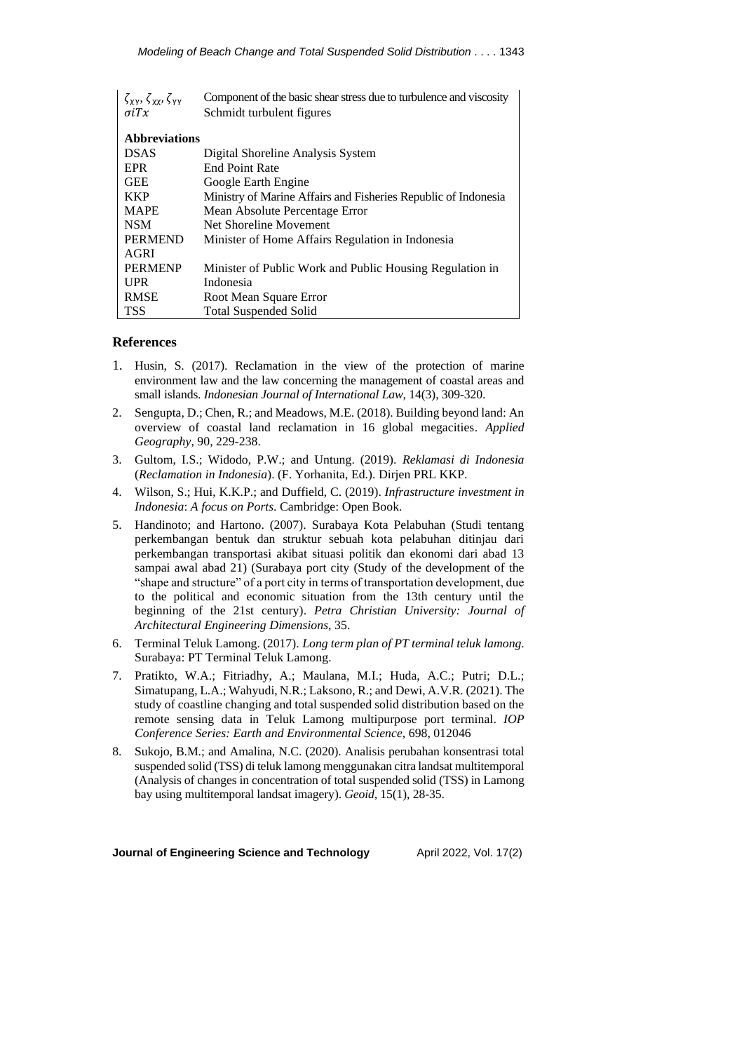| $\zeta_{XY}, \zeta_{XY}, \zeta_{YY}$ | Component of the basic shear stress due to turbulence and viscosity |  |
|--------------------------------------|---------------------------------------------------------------------|--|
| $\sigma$ i $Tx$                      | Schmidt turbulent figures                                           |  |
|                                      |                                                                     |  |
| <b>Abbreviations</b>                 |                                                                     |  |
| <b>DSAS</b>                          | Digital Shoreline Analysis System                                   |  |
| <b>EPR</b>                           | <b>End Point Rate</b>                                               |  |
| <b>GEE</b>                           | Google Earth Engine                                                 |  |
| <b>KKP</b>                           | Ministry of Marine Affairs and Fisheries Republic of Indonesia      |  |
| <b>MAPE</b>                          | Mean Absolute Percentage Error                                      |  |
| <b>NSM</b>                           | Net Shoreline Movement                                              |  |
| <b>PERMEND</b>                       | Minister of Home Affairs Regulation in Indonesia                    |  |
| AGRI                                 |                                                                     |  |
| <b>PERMENP</b>                       | Minister of Public Work and Public Housing Regulation in            |  |
| <b>UPR</b>                           | Indonesia                                                           |  |
| <b>RMSE</b>                          | Root Mean Square Error                                              |  |
| <b>TSS</b>                           | <b>Total Suspended Solid</b>                                        |  |

# **References**

- 1. Husin, S. (2017). Reclamation in the view of the protection of marine environment law and the law concerning the management of coastal areas and small islands. *Indonesian Journal of International Law*, 14(3), 309-320.
- 2. Sengupta, D.; Chen, R.; and Meadows, M.E. (2018). Building beyond land: An overview of coastal land reclamation in 16 global megacities. *Applied Geography*, 90, 229-238.
- 3. Gultom, I.S.; Widodo, P.W.; and Untung. (2019). *Reklamasi di Indonesia*  (*Reclamation in Indonesia*). (F. Yorhanita, Ed.). Dirjen PRL KKP.
- 4. Wilson, S.; Hui, K.K.P.; and Duffield, C. (2019). *Infrastructure investment in Indonesia*: *A focus on Ports*. Cambridge: Open Book.
- 5. Handinoto; and Hartono. (2007). Surabaya Kota Pelabuhan (Studi tentang perkembangan bentuk dan struktur sebuah kota pelabuhan ditinjau dari perkembangan transportasi akibat situasi politik dan ekonomi dari abad 13 sampai awal abad 21) (Surabaya port city (Study of the development of the "shape and structure" of a port city in terms of transportation development, due to the political and economic situation from the 13th century until the beginning of the 21st century). *Petra Christian University: Journal of Architectural Engineering Dimensions*, 35.
- 6. Terminal Teluk Lamong. (2017). *Long term plan of PT terminal teluk lamong*. Surabaya: PT Terminal Teluk Lamong.
- 7. Pratikto, W.A.; Fitriadhy, A.; Maulana, M.I.; Huda, A.C.; Putri; D.L.; Simatupang, L.A.; Wahyudi, N.R.; Laksono, R.; and Dewi, A.V.R. (2021). The study of coastline changing and total suspended solid distribution based on the remote sensing data in Teluk Lamong multipurpose port terminal. *IOP Conference Series: Earth and Environmental Science*, 698, 012046
- 8. Sukojo, B.M.; and Amalina, N.C. (2020). Analisis perubahan konsentrasi total suspended solid (TSS) di teluk lamong menggunakan citra landsat multitemporal (Analysis of changes in concentration of total suspended solid (TSS) in Lamong bay using multitemporal landsat imagery). *Geoid*, 15(1), 28-35.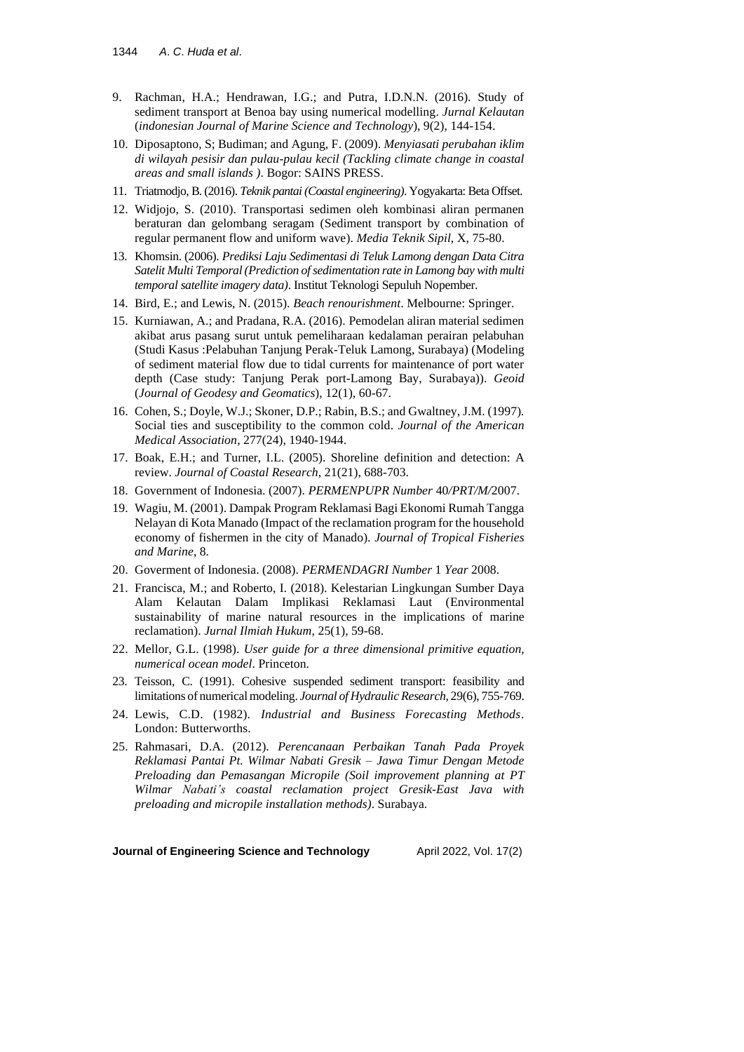- 9. Rachman, H.A.; Hendrawan, I.G.; and Putra, I.D.N.N. (2016). Study of sediment transport at Benoa bay using numerical modelling. *Jurnal Kelautan* (*indonesian Journal of Marine Science and Technology*), 9(2), 144-154.
- 10. Diposaptono, S; Budiman; and Agung, F. (2009). *Menyiasati perubahan iklim di wilayah pesisir dan pulau-pulau kecil (Tackling climate change in coastal areas and small islands )*. Bogor: SAINS PRESS.
- 11. Triatmodjo, B. (2016). *Teknik pantai (Coastal engineering)*. Yogyakarta: Beta Offset.
- 12. Widjojo, S. (2010). Transportasi sedimen oleh kombinasi aliran permanen beraturan dan gelombang seragam (Sediment transport by combination of regular permanent flow and uniform wave). *Media Teknik Sipil*, X, 75-80.
- 13. Khomsin. (2006). *Prediksi Laju Sedimentasi di Teluk Lamong dengan Data Citra Satelit Multi Temporal (Prediction ofsedimentation rate in Lamong bay with multi temporal satellite imagery data)*. Institut Teknologi Sepuluh Nopember.
- 14. Bird, E.; and Lewis, N. (2015). *Beach renourishment*. Melbourne: Springer.
- 15. Kurniawan, A.; and Pradana, R.A. (2016). Pemodelan aliran material sedimen akibat arus pasang surut untuk pemeliharaan kedalaman perairan pelabuhan (Studi Kasus :Pelabuhan Tanjung Perak-Teluk Lamong, Surabaya) (Modeling of sediment material flow due to tidal currents for maintenance of port water depth (Case study: Tanjung Perak port-Lamong Bay, Surabaya)). *Geoid* (*Journal of Geodesy and Geomatics*), 12(1), 60-67.
- 16. Cohen, S.; Doyle, W.J.; Skoner, D.P.; Rabin, B.S.; and Gwaltney, J.M. (1997). Social ties and susceptibility to the common cold. *Journal of the American Medical Association*, 277(24), 1940-1944.
- 17. Boak, E.H.; and Turner, I.L. (2005). Shoreline definition and detection: A review. *Journal of Coastal Research*, 21(21), 688-703.
- 18. Government of Indonesia. (2007). *PERMENPUPR Number* 40*/PRT/M/*2007.
- 19. Wagiu, M. (2001). Dampak Program Reklamasi Bagi Ekonomi Rumah Tangga Nelayan di Kota Manado (Impact of the reclamation program for the household economy of fishermen in the city of Manado). *Journal of Tropical Fisheries and Marine*, 8.
- 20. Goverment of Indonesia. (2008). *PERMENDAGRI Number* 1 *Year* 2008.
- 21. Francisca, M.; and Roberto, I. (2018). Kelestarian Lingkungan Sumber Daya Alam Kelautan Dalam Implikasi Reklamasi Laut (Environmental sustainability of marine natural resources in the implications of marine reclamation). *Jurnal Ilmiah Hukum*, 25(1), 59-68.
- 22. Mellor, G.L. (1998). *User guide for a three dimensional primitive equation*, *numerical ocean model*. Princeton.
- 23. Teisson, C. (1991). Cohesive suspended sediment transport: feasibility and limitations of numerical modeling. *Journal of Hydraulic Research*, 29(6), 755-769.
- 24. Lewis, C.D. (1982). *Industrial and Business Forecasting Methods*. London: Butterworths.
- 25. Rahmasari, D.A. (2012). *Perencanaan Perbaikan Tanah Pada Proyek Reklamasi Pantai Pt. Wilmar Nabati Gresik – Jawa Timur Dengan Metode Preloading dan Pemasangan Micropile (Soil improvement planning at PT Wilmar Nabati's coastal reclamation project Gresik-East Java with preloading and micropile installation methods)*. Surabaya.